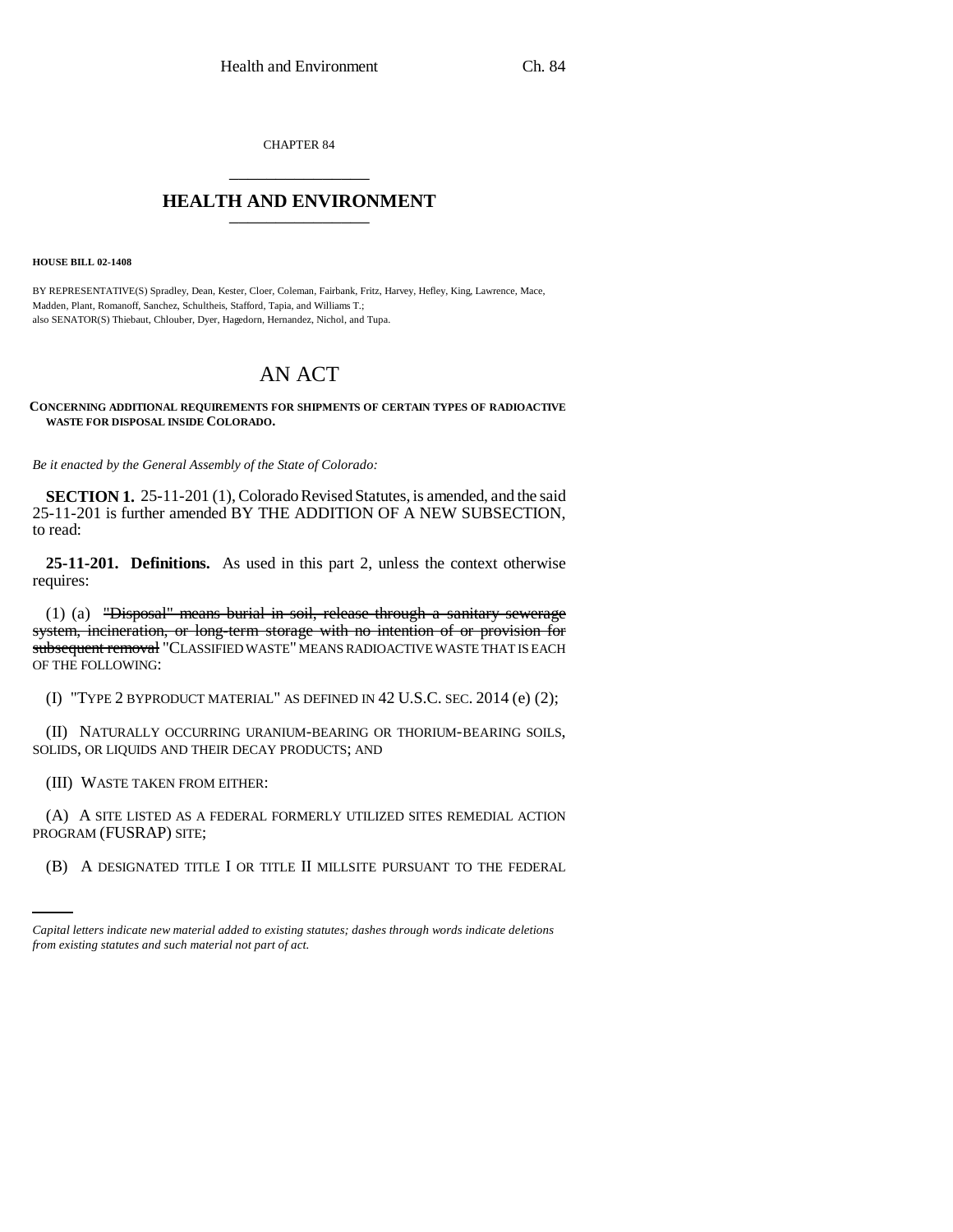CHAPTER 84 \_\_\_\_\_\_\_\_\_\_\_\_\_\_\_

## **HEALTH AND ENVIRONMENT** \_\_\_\_\_\_\_\_\_\_\_\_\_\_\_

**HOUSE BILL 02-1408**

BY REPRESENTATIVE(S) Spradley, Dean, Kester, Cloer, Coleman, Fairbank, Fritz, Harvey, Hefley, King, Lawrence, Mace, Madden, Plant, Romanoff, Sanchez, Schultheis, Stafford, Tapia, and Williams T.; also SENATOR(S) Thiebaut, Chlouber, Dyer, Hagedorn, Hernandez, Nichol, and Tupa.

## AN ACT

**CONCERNING ADDITIONAL REQUIREMENTS FOR SHIPMENTS OF CERTAIN TYPES OF RADIOACTIVE WASTE FOR DISPOSAL INSIDE COLORADO.**

*Be it enacted by the General Assembly of the State of Colorado:*

**SECTION 1.** 25-11-201 (1), Colorado Revised Statutes, is amended, and the said 25-11-201 is further amended BY THE ADDITION OF A NEW SUBSECTION, to read:

**25-11-201. Definitions.** As used in this part 2, unless the context otherwise requires:

(1) (a) "Disposal" means burial in soil, release through a sanitary sewerage system, incineration, or long-term storage with no intention of or provision for subsequent removal "CLASSIFIED WASTE" MEANS RADIOACTIVE WASTE THAT IS EACH OF THE FOLLOWING:

(I) "TYPE 2 BYPRODUCT MATERIAL" AS DEFINED IN 42 U.S.C. SEC. 2014 (e) (2);

(II) NATURALLY OCCURRING URANIUM-BEARING OR THORIUM-BEARING SOILS, SOLIDS, OR LIQUIDS AND THEIR DECAY PRODUCTS; AND

(III) WASTE TAKEN FROM EITHER:

PROGRAM (FUSRAP) SITE; (A) A SITE LISTED AS A FEDERAL FORMERLY UTILIZED SITES REMEDIAL ACTION

(B) A DESIGNATED TITLE I OR TITLE II MILLSITE PURSUANT TO THE FEDERAL

*Capital letters indicate new material added to existing statutes; dashes through words indicate deletions from existing statutes and such material not part of act.*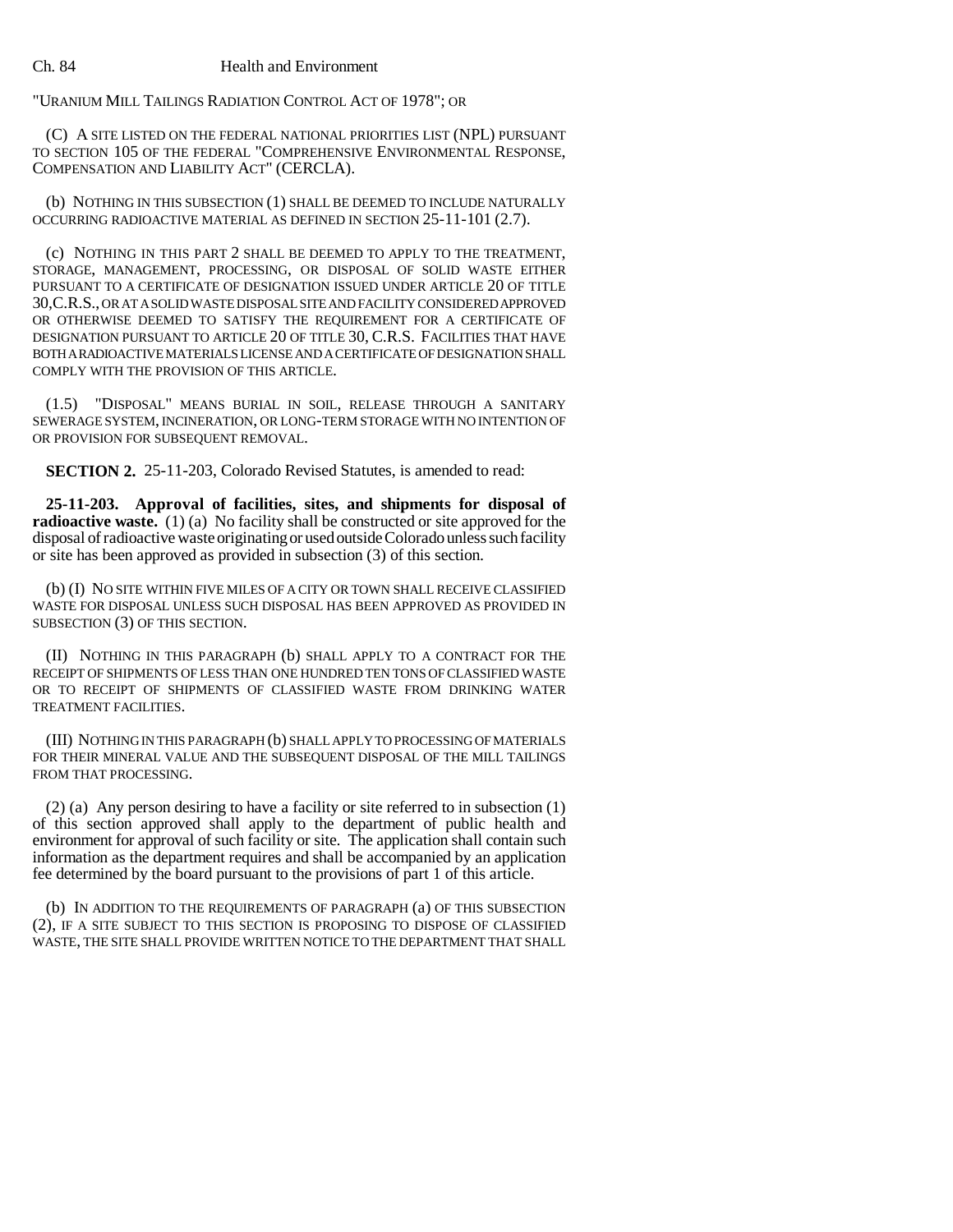## Ch. 84 Health and Environment

"URANIUM MILL TAILINGS RADIATION CONTROL ACT OF 1978"; OR

(C) A SITE LISTED ON THE FEDERAL NATIONAL PRIORITIES LIST (NPL) PURSUANT TO SECTION 105 OF THE FEDERAL "COMPREHENSIVE ENVIRONMENTAL RESPONSE, COMPENSATION AND LIABILITY ACT" (CERCLA).

(b) NOTHING IN THIS SUBSECTION (1) SHALL BE DEEMED TO INCLUDE NATURALLY OCCURRING RADIOACTIVE MATERIAL AS DEFINED IN SECTION 25-11-101 (2.7).

(c) NOTHING IN THIS PART 2 SHALL BE DEEMED TO APPLY TO THE TREATMENT, STORAGE, MANAGEMENT, PROCESSING, OR DISPOSAL OF SOLID WASTE EITHER PURSUANT TO A CERTIFICATE OF DESIGNATION ISSUED UNDER ARTICLE 20 OF TITLE 30,C.R.S., OR AT A SOLID WASTE DISPOSAL SITE AND FACILITY CONSIDERED APPROVED OR OTHERWISE DEEMED TO SATISFY THE REQUIREMENT FOR A CERTIFICATE OF DESIGNATION PURSUANT TO ARTICLE 20 OF TITLE 30, C.R.S. FACILITIES THAT HAVE BOTH A RADIOACTIVE MATERIALS LICENSE AND A CERTIFICATE OF DESIGNATION SHALL COMPLY WITH THE PROVISION OF THIS ARTICLE.

(1.5) "DISPOSAL" MEANS BURIAL IN SOIL, RELEASE THROUGH A SANITARY SEWERAGE SYSTEM, INCINERATION, OR LONG-TERM STORAGE WITH NO INTENTION OF OR PROVISION FOR SUBSEQUENT REMOVAL.

**SECTION 2.** 25-11-203, Colorado Revised Statutes, is amended to read:

**25-11-203. Approval of facilities, sites, and shipments for disposal of radioactive waste.** (1) (a) No facility shall be constructed or site approved for the disposal of radioactive waste originating or used outside Colorado unless such facility or site has been approved as provided in subsection (3) of this section.

(b) (I) NO SITE WITHIN FIVE MILES OF A CITY OR TOWN SHALL RECEIVE CLASSIFIED WASTE FOR DISPOSAL UNLESS SUCH DISPOSAL HAS BEEN APPROVED AS PROVIDED IN SUBSECTION (3) OF THIS SECTION.

(II) NOTHING IN THIS PARAGRAPH (b) SHALL APPLY TO A CONTRACT FOR THE RECEIPT OF SHIPMENTS OF LESS THAN ONE HUNDRED TEN TONS OF CLASSIFIED WASTE OR TO RECEIPT OF SHIPMENTS OF CLASSIFIED WASTE FROM DRINKING WATER TREATMENT FACILITIES.

(III) NOTHING IN THIS PARAGRAPH (b) SHALL APPLY TO PROCESSING OF MATERIALS FOR THEIR MINERAL VALUE AND THE SUBSEQUENT DISPOSAL OF THE MILL TAILINGS FROM THAT PROCESSING.

(2) (a) Any person desiring to have a facility or site referred to in subsection (1) of this section approved shall apply to the department of public health and environment for approval of such facility or site. The application shall contain such information as the department requires and shall be accompanied by an application fee determined by the board pursuant to the provisions of part 1 of this article.

(b) IN ADDITION TO THE REQUIREMENTS OF PARAGRAPH (a) OF THIS SUBSECTION (2), IF A SITE SUBJECT TO THIS SECTION IS PROPOSING TO DISPOSE OF CLASSIFIED WASTE, THE SITE SHALL PROVIDE WRITTEN NOTICE TO THE DEPARTMENT THAT SHALL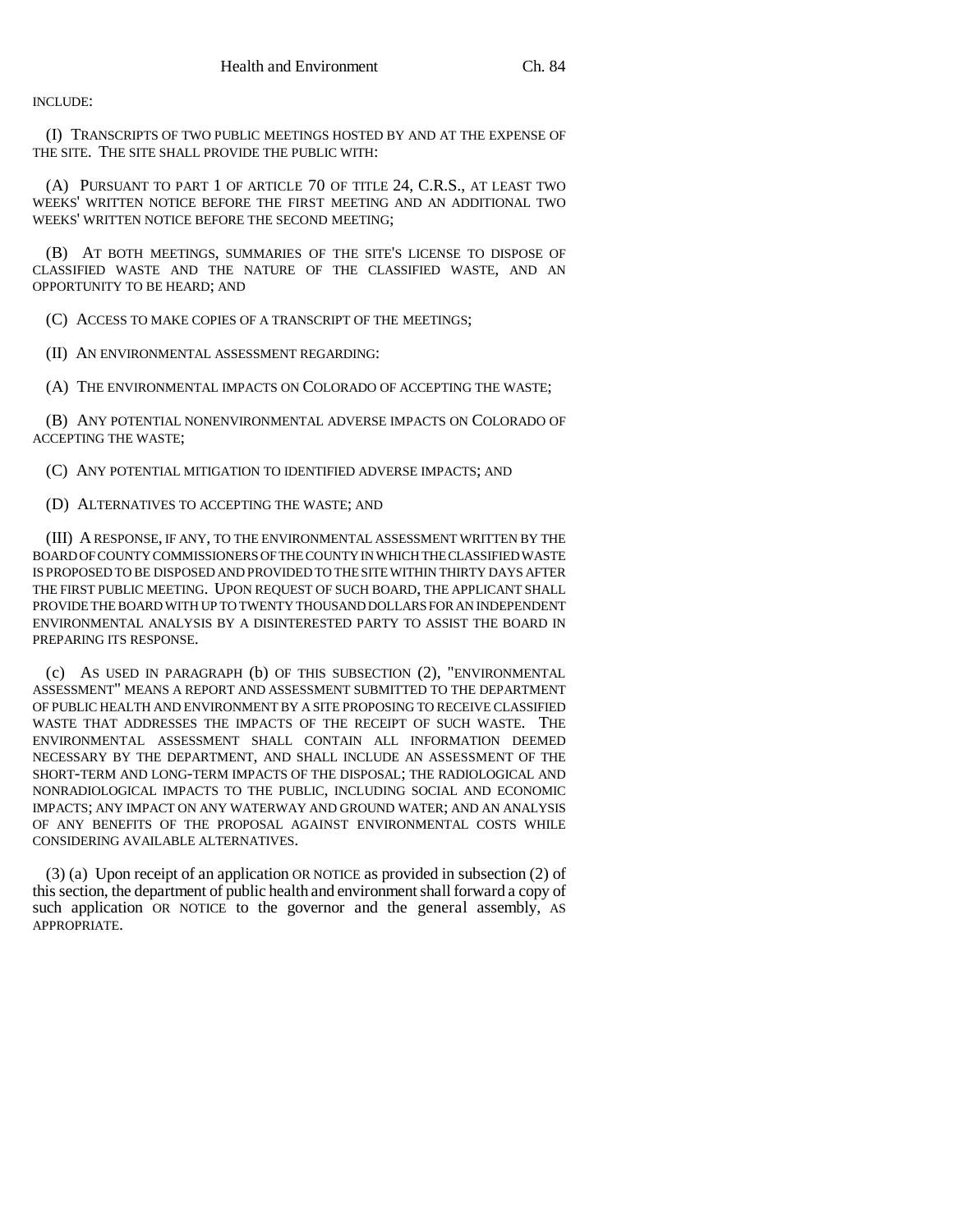INCLUDE:

(I) TRANSCRIPTS OF TWO PUBLIC MEETINGS HOSTED BY AND AT THE EXPENSE OF THE SITE. THE SITE SHALL PROVIDE THE PUBLIC WITH:

(A) PURSUANT TO PART 1 OF ARTICLE 70 OF TITLE 24, C.R.S., AT LEAST TWO WEEKS' WRITTEN NOTICE BEFORE THE FIRST MEETING AND AN ADDITIONAL TWO WEEKS' WRITTEN NOTICE BEFORE THE SECOND MEETING;

(B) AT BOTH MEETINGS, SUMMARIES OF THE SITE'S LICENSE TO DISPOSE OF CLASSIFIED WASTE AND THE NATURE OF THE CLASSIFIED WASTE, AND AN OPPORTUNITY TO BE HEARD; AND

(C) ACCESS TO MAKE COPIES OF A TRANSCRIPT OF THE MEETINGS;

(II) AN ENVIRONMENTAL ASSESSMENT REGARDING:

(A) THE ENVIRONMENTAL IMPACTS ON COLORADO OF ACCEPTING THE WASTE;

(B) ANY POTENTIAL NONENVIRONMENTAL ADVERSE IMPACTS ON COLORADO OF ACCEPTING THE WASTE;

(C) ANY POTENTIAL MITIGATION TO IDENTIFIED ADVERSE IMPACTS; AND

(D) ALTERNATIVES TO ACCEPTING THE WASTE; AND

(III) A RESPONSE, IF ANY, TO THE ENVIRONMENTAL ASSESSMENT WRITTEN BY THE BOARD OF COUNTY COMMISSIONERS OF THE COUNTY IN WHICH THE CLASSIFIED WASTE IS PROPOSED TO BE DISPOSED AND PROVIDED TO THE SITE WITHIN THIRTY DAYS AFTER THE FIRST PUBLIC MEETING. UPON REQUEST OF SUCH BOARD, THE APPLICANT SHALL PROVIDE THE BOARD WITH UP TO TWENTY THOUSAND DOLLARS FOR AN INDEPENDENT ENVIRONMENTAL ANALYSIS BY A DISINTERESTED PARTY TO ASSIST THE BOARD IN PREPARING ITS RESPONSE.

(c) AS USED IN PARAGRAPH (b) OF THIS SUBSECTION (2), "ENVIRONMENTAL ASSESSMENT" MEANS A REPORT AND ASSESSMENT SUBMITTED TO THE DEPARTMENT OF PUBLIC HEALTH AND ENVIRONMENT BY A SITE PROPOSING TO RECEIVE CLASSIFIED WASTE THAT ADDRESSES THE IMPACTS OF THE RECEIPT OF SUCH WASTE. THE ENVIRONMENTAL ASSESSMENT SHALL CONTAIN ALL INFORMATION DEEMED NECESSARY BY THE DEPARTMENT, AND SHALL INCLUDE AN ASSESSMENT OF THE SHORT-TERM AND LONG-TERM IMPACTS OF THE DISPOSAL; THE RADIOLOGICAL AND NONRADIOLOGICAL IMPACTS TO THE PUBLIC, INCLUDING SOCIAL AND ECONOMIC IMPACTS; ANY IMPACT ON ANY WATERWAY AND GROUND WATER; AND AN ANALYSIS OF ANY BENEFITS OF THE PROPOSAL AGAINST ENVIRONMENTAL COSTS WHILE CONSIDERING AVAILABLE ALTERNATIVES.

(3) (a) Upon receipt of an application OR NOTICE as provided in subsection (2) of this section, the department of public health and environment shall forward a copy of such application OR NOTICE to the governor and the general assembly, AS APPROPRIATE.